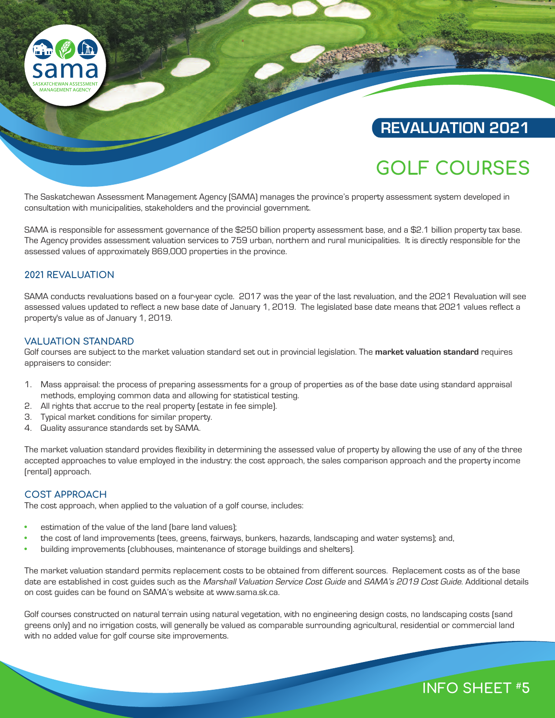

# **REVALUATION 2021**

# **GOLF COURSES**

The Saskatchewan Assessment Management Agency (SAMA) manages the province's property assessment system developed in consultation with municipalities, stakeholders and the provincial government.

SAMA is responsible for assessment governance of the \$250 billion property assessment base, and a \$2.1 billion property tax base. The Agency provides assessment valuation services to 759 urban, northern and rural municipalities. It is directly responsible for the assessed values of approximately 869,000 properties in the province.

# **2021 REVALUATION**

SAMA conducts revaluations based on a four-year cycle. 2017 was the year of the last revaluation, and the 2021 Revaluation will see assessed values updated to reflect a new base date of January 1, 2019. The legislated base date means that 2021 values reflect a property's value as of January 1, 2019.

## **VALUATION STANDARD**

Golf courses are subject to the market valuation standard set out in provincial legislation. The **market valuation standard** requires appraisers to consider:

- 1. Mass appraisal: the process of preparing assessments for a group of properties as of the base date using standard appraisal methods, employing common data and allowing for statistical testing.
- 2. All rights that accrue to the real property (estate in fee simple).
- 3. Typical market conditions for similar property.
- 4. Quality assurance standards set by SAMA.

The market valuation standard provides flexibility in determining the assessed value of property by allowing the use of any of the three accepted approaches to value employed in the industry: the cost approach, the sales comparison approach and the property income (rental) approach.

## **COST APPROACH**

The cost approach, when applied to the valuation of a golf course, includes:

- estimation of the value of the land (bare land values);
- the cost of land improvements (tees, greens, fairways, bunkers, hazards, landscaping and water systems); and,
- building improvements (clubhouses, maintenance of storage buildings and shelters).

The market valuation standard permits replacement costs to be obtained from different sources. Replacement costs as of the base date are established in cost guides such as the Marshall Valuation Service Cost Guide and SAMA's 2019 Cost Guide. Additional details on cost guides can be found on SAMA's website at www.sama.sk.ca.

Golf courses constructed on natural terrain using natural vegetation, with no engineering design costs, no landscaping costs (sand greens only) and no irrigation costs, will generally be valued as comparable surrounding agricultural, residential or commercial land with no added value for golf course site improvements.